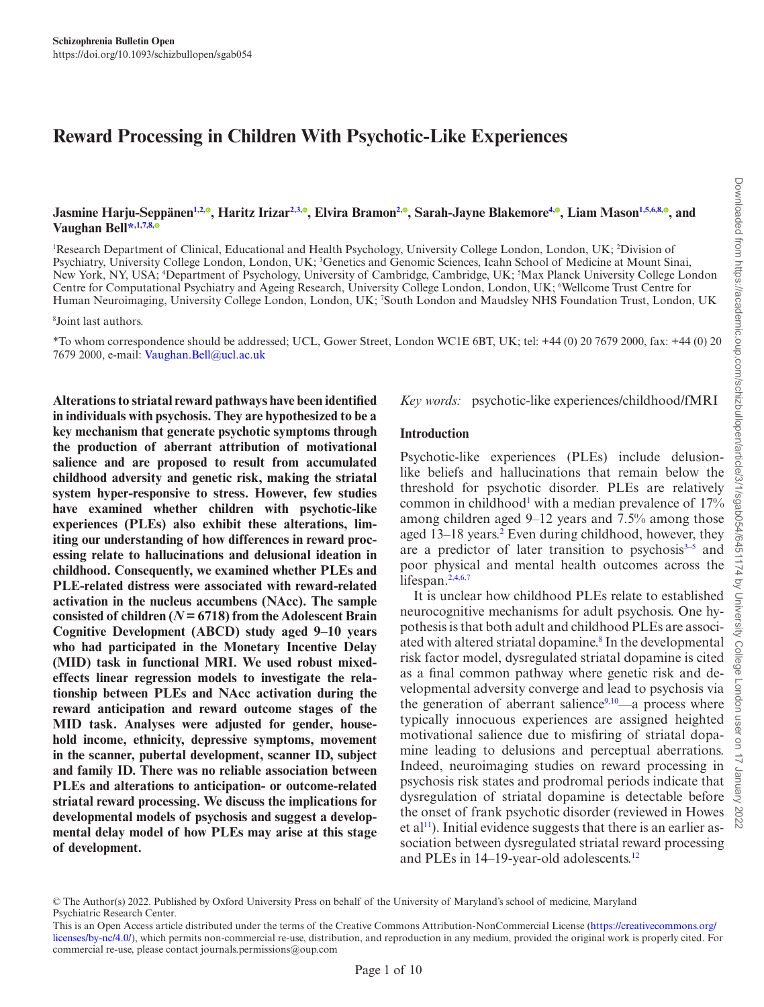<span id="page-0-8"></span>Downloaded from https://academic.oup.com/schizbullopen/article/3/1/sgab054/6451174 by University College London user on 17 January 2022

# **Reward Processing in Children With Psychotic-Like Experiences**

Jasmine Harju-Seppänen<sup>1[,2](#page-0-1)[,](https://orcid.org/0000-0003-3957-1436)0</sup>, Haritz Irizar<sup>[2,](#page-0-1)[3](#page-0-2),0</sup>, Elvira Bramon<sup>2,0</sup>, Sarah-Jayne Blakemore<sup>[4](#page-0-3),0</sup>, Liam Mason<sup>[1,](#page-0-0)[5,](#page-0-4)[6](#page-0-5)[,8](#page-0-6),0</sup>, and **Vaughan Bel[l\\*](#page-0-7),[1](#page-0-0),[7](#page-0-8)[,8](#page-0-6)[,](https://orcid.org/0000-0001-8616-4847)**

<span id="page-0-3"></span><span id="page-0-2"></span><span id="page-0-1"></span><span id="page-0-0"></span><sup>1</sup>Research Department of Clinical, Educational and Health Psychology, University College London, London, UK; <sup>2</sup>Division of Psychiatry, University College London, London, UK; <sup>3</sup>Genetics and Genomic Sciences, Icahn School of Medicine at Mount Sinai, New York, NY, USA; 4 Department of Psychology, University of Cambridge, Cambridge, UK; 5 Max Planck University College London Centre for Computational Psychiatry and Ageing Research, University College London, London, UK; 6 Wellcome Trust Centre for Human Neuroimaging, University College London, London, UK; <sup>7</sup> South London and Maudsley NHS Foundation Trust, London, UK

<span id="page-0-6"></span><span id="page-0-5"></span>8 Joint last authors.

<span id="page-0-7"></span>\*To whom correspondence should be addressed; UCL, Gower Street, London WC1E 6BT, UK; tel: +44 (0) 20 7679 2000, fax: +44 (0) 20 7679 2000, e-mail: Vaughan.Bell@ucl.ac.uk

**Alterations to striatal reward pathways have been identified in individuals with psychosis. They are hypothesized to be a key mechanism that generate psychotic symptoms through the production of aberrant attribution of motivational salience and are proposed to result from accumulated childhood adversity and genetic risk, making the striatal system hyper-responsive to stress. However, few studies have examined whether children with psychotic-like experiences (PLEs) also exhibit these alterations, limiting our understanding of how differences in reward processing relate to hallucinations and delusional ideation in childhood. Consequently, we examined whether PLEs and PLE-related distress were associated with reward-related activation in the nucleus accumbens (NAcc). The sample consisted of children (***N* **= 6718) from the Adolescent Brain Cognitive Development (ABCD) study aged 9–10 years who had participated in the Monetary Incentive Delay (MID) task in functional MRI. We used robust mixedeffects linear regression models to investigate the relationship between PLEs and NAcc activation during the reward anticipation and reward outcome stages of the MID task. Analyses were adjusted for gender, household income, ethnicity, depressive symptoms, movement in the scanner, pubertal development, scanner ID, subject and family ID. There was no reliable association between PLEs and alterations to anticipation- or outcome-related striatal reward processing. We discuss the implications for developmental models of psychosis and suggest a developmental delay model of how PLEs may arise at this stage of development.**

*Key words:* psychotic-like experiences/childhood/fMRI

#### **Introduction**

Psychotic-like experiences (PLEs) include delusionlike beliefs and hallucinations that remain below the threshold for psychotic disorder. PLEs are relatively common in childhood<sup>1</sup> with a median prevalence of  $17%$ among children aged 9–12 years and 7.5% among those aged 13–18 years.<sup>[2](#page-7-1)</sup> Even during childhood, however, they are a predictor of later transition to psychosis $3-5$  $3-5$  and poor physical and mental health outcomes across the lifespan. $2,4,6,7$  $2,4,6,7$  $2,4,6,7$  $2,4,6,7$  $2,4,6,7$  $2,4,6,7$ 

<span id="page-0-4"></span>Downloaded from https://academic.oup.com/schi/zbullopen/article/3/1/sgab054/6451174 by University College It is unclear how childhood PLEs relate to established neurocognitive mechanisms for adult psychosis. One hypothesis is that both adult and childhood PLEs are associated with altered striatal dopamine.<sup>8</sup> In the developmental risk factor model, dysregulated striatal dopamine is cited as a final common pathway where genetic risk and de-London velopmental adversity converge and lead to psychosis via the generation of aberrant salience $9,10$  $9,10$ —a process where typically innocuous experiences are assigned heighted motivational salience due to misfiring of striatal dopamine leading to delusions and perceptual aberrations. Indeed, neuroimaging studies on reward processing in psychosis risk states and prodromal periods indicate that dysregulation of striatal dopamine is detectable before  $\frac{5}{3}$ the onset of frank psychotic disorder (reviewed in Howes et al<sup>11</sup>). Initial evidence suggests that there is an earlier association between dysregulated striatal reward processing and PLEs in 14–19-year-old adolescents.<sup>[12](#page-7-11)</sup>

<sup>©</sup> The Author(s) 2022. Published by Oxford University Press on behalf of the University of Maryland's school of medicine, Maryland Psychiatric Research Center.

This is an Open Access article distributed under the terms of the Creative Commons Attribution-NonCommercial License (https://creativecommons.org/ licenses/by-nc/4.0/), which permits non-commercial re-use, distribution, and reproduction in any medium, provided the original work is properly cited. For commercial re-use, please contact journals.permissions@oup.com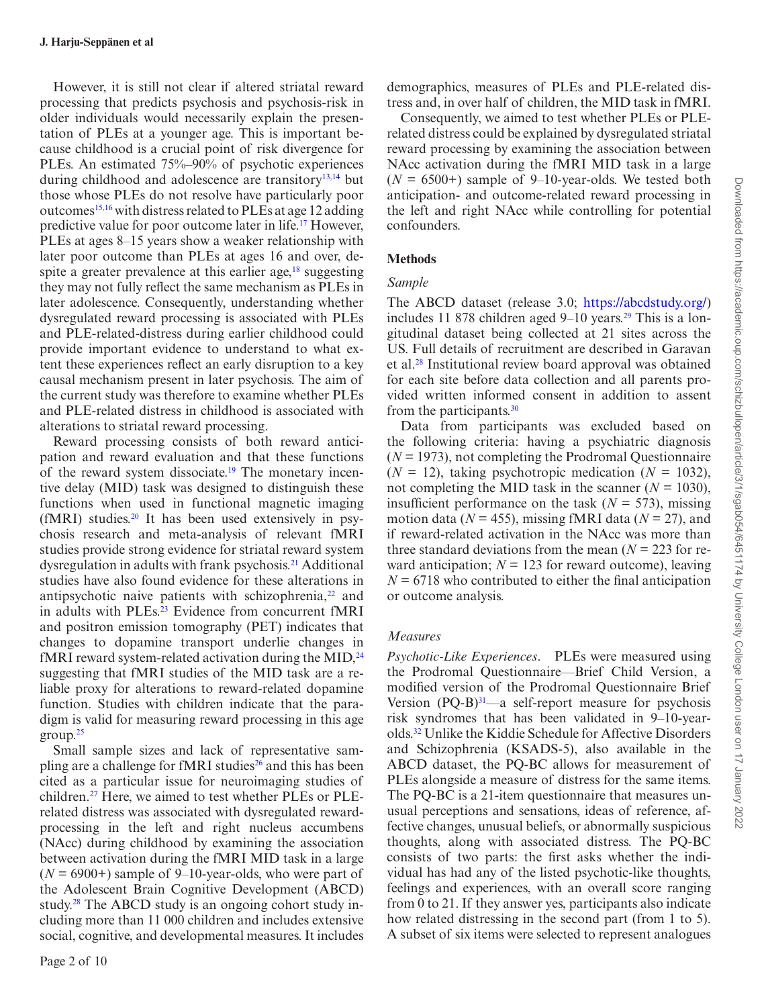However, it is still not clear if altered striatal reward processing that predicts psychosis and psychosis-risk in older individuals would necessarily explain the presentation of PLEs at a younger age. This is important because childhood is a crucial point of risk divergence for PLEs. An estimated 75%–90% of psychotic experiences during childhood and adolescence are transitory<sup>[13,](#page-7-12)[14](#page-7-13)</sup> but those whose PLEs do not resolve have particularly poor outcomes<sup>[15](#page-7-14),16</sup> with distress related to PLEs at age 12 adding predictive value for poor outcome later in life.[17](#page-8-1) However, PLEs at ages 8–15 years show a weaker relationship with later poor outcome than PLEs at ages 16 and over, despite a greater prevalence at this earlier age, $18$  suggesting they may not fully reflect the same mechanism as PLEs in later adolescence. Consequently, understanding whether dysregulated reward processing is associated with PLEs and PLE-related-distress during earlier childhood could provide important evidence to understand to what extent these experiences reflect an early disruption to a key causal mechanism present in later psychosis. The aim of the current study was therefore to examine whether PLEs and PLE-related distress in childhood is associated with alterations to striatal reward processing.

Reward processing consists of both reward anticipation and reward evaluation and that these functions of the reward system dissociate.<sup>19</sup> The monetary incentive delay (MID) task was designed to distinguish these functions when used in functional magnetic imaging  $(fMRI)$  studies.<sup>20</sup> It has been used extensively in psychosis research and meta-analysis of relevant fMRI studies provide strong evidence for striatal reward system dysregulation in adults with frank psychosis[.21](#page-8-5) Additional studies have also found evidence for these alterations in antipsychotic naive patients with schizophrenia, $^{22}$  and in adults with PLEs.<sup>23</sup> Evidence from concurrent fMRI and positron emission tomography (PET) indicates that changes to dopamine transport underlie changes in fMRI reward system-related activation during the MID, $^{24}$  $^{24}$  $^{24}$ suggesting that fMRI studies of the MID task are a reliable proxy for alterations to reward-related dopamine function. Studies with children indicate that the paradigm is valid for measuring reward processing in this age  $group.<sup>25</sup>$ 

Small sample sizes and lack of representative sampling are a challenge for fMRI studies<sup>26</sup> and this has been cited as a particular issue for neuroimaging studies of children.[27](#page-8-11) Here, we aimed to test whether PLEs or PLErelated distress was associated with dysregulated rewardprocessing in the left and right nucleus accumbens (NAcc) during childhood by examining the association between activation during the fMRI MID task in a large  $(N = 6900+)$  sample of 9–10-year-olds, who were part of the Adolescent Brain Cognitive Development (ABCD) study.<sup>28</sup> The ABCD study is an ongoing cohort study including more than 11 000 children and includes extensive social, cognitive, and developmental measures. It includes

demographics, measures of PLEs and PLE-related distress and, in over half of children, the MID task in fMRI.

Consequently, we aimed to test whether PLEs or PLErelated distress could be explained by dysregulated striatal reward processing by examining the association between NAcc activation during the fMRI MID task in a large  $(N = 6500+)$  sample of 9–10-year-olds. We tested both anticipation- and outcome-related reward processing in the left and right NAcc while controlling for potential confounders.

#### **Methods**

#### *Sample*

The ABCD dataset (release 3.0; https://abcdstudy.org/) includes 11 878 children aged  $9-10$  years.<sup>29</sup> This is a longitudinal dataset being collected at 21 sites across the US. Full details of recruitment are described in Garavan et al.[28](#page-8-12) Institutional review board approval was obtained for each site before data collection and all parents provided written informed consent in addition to assent from the participants[.30](#page-8-14)

Data from participants was excluded based on the following criteria: having a psychiatric diagnosis (*N* = 1973), not completing the Prodromal Questionnaire  $(N = 12)$ , taking psychotropic medication  $(N = 1032)$ , not completing the MID task in the scanner ( $N = 1030$ ), insufficient performance on the task  $(N = 573)$ , missing motion data ( $N = 455$ ), missing fMRI data ( $N = 27$ ), and if reward-related activation in the NAcc was more than three standard deviations from the mean  $(N = 223$  for reward anticipation;  $N = 123$  for reward outcome), leaving  $N = 6718$  who contributed to either the final anticipation or outcome analysis.

#### *Measures*

*Psychotic-Like Experiences*. PLEs were measured using the Prodromal Questionnaire—Brief Child Version, a modified version of the Prodromal Questionnaire Brief Version  $(PQ-B)^{31}$  $(PQ-B)^{31}$  $(PQ-B)^{31}$ —a self-report measure for psychosis risk syndromes that has been validated in 9–10-yearolds.[32](#page-8-16) Unlike the Kiddie Schedule for Affective Disorders and Schizophrenia (KSADS-5), also available in the ABCD dataset, the PQ-BC allows for measurement of PLEs alongside a measure of distress for the same items. The PQ-BC is a 21-item questionnaire that measures unusual perceptions and sensations, ideas of reference, affective changes, unusual beliefs, or abnormally suspicious thoughts, along with associated distress. The PQ-BC consists of two parts: the first asks whether the individual has had any of the listed psychotic-like thoughts, feelings and experiences, with an overall score ranging from 0 to 21. If they answer yes, participants also indicate how related distressing in the second part (from 1 to 5). A subset of six items were selected to represent analogues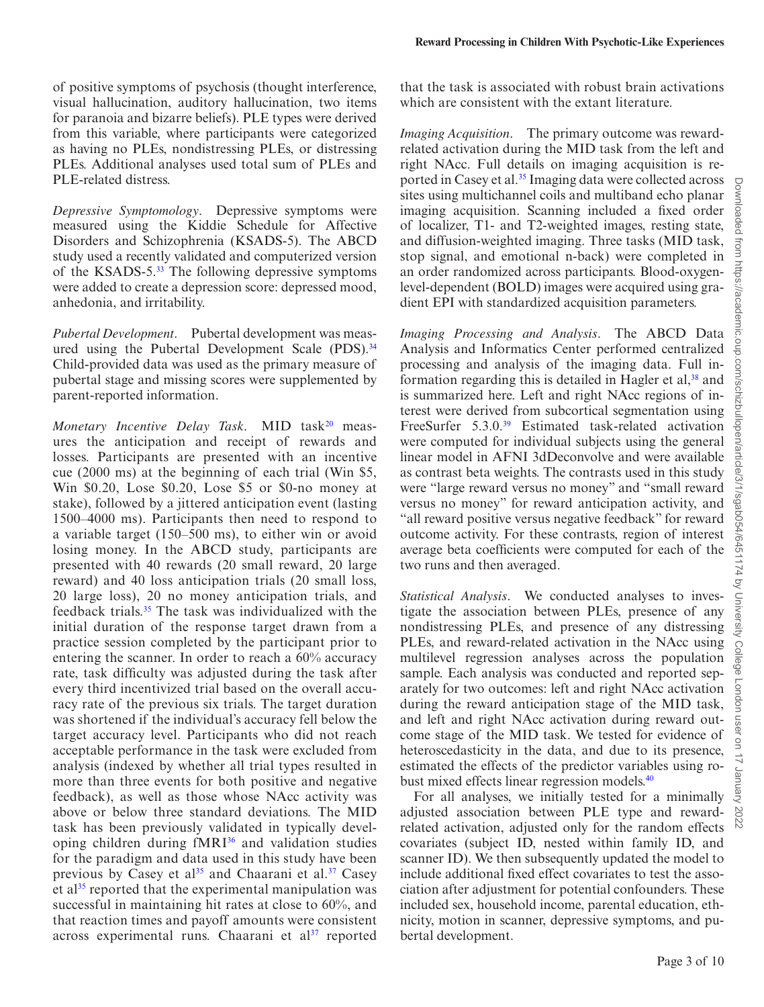of positive symptoms of psychosis (thought interference, visual hallucination, auditory hallucination, two items for paranoia and bizarre beliefs). PLE types were derived from this variable, where participants were categorized as having no PLEs, nondistressing PLEs, or distressing PLEs. Additional analyses used total sum of PLEs and PLE-related distress.

*Depressive Symptomology*. Depressive symptoms were measured using the Kiddie Schedule for Affective Disorders and Schizophrenia (KSADS-5). The ABCD study used a recently validated and computerized version of the KSADS-5.<sup>33</sup> The following depressive symptoms were added to create a depression score: depressed mood, anhedonia, and irritability.

*Pubertal Development*. Pubertal development was meas-ured using the Pubertal Development Scale (PDS).<sup>[34](#page-8-18)</sup> Child-provided data was used as the primary measure of pubertal stage and missing scores were supplemented by parent-reported information.

*Monetary Incentive Delay Task.* MID task<sup>[20](#page-8-4)</sup> measures the anticipation and receipt of rewards and losses. Participants are presented with an incentive cue (2000 ms) at the beginning of each trial (Win \$5, Win \$0.20, Lose \$0.20, Lose \$5 or \$0-no money at stake), followed by a jittered anticipation event (lasting 1500–4000 ms). Participants then need to respond to a variable target (150–500 ms), to either win or avoid losing money. In the ABCD study, participants are presented with 40 rewards (20 small reward, 20 large reward) and 40 loss anticipation trials (20 small loss, 20 large loss), 20 no money anticipation trials, and feedback trials.[35](#page-8-19) The task was individualized with the initial duration of the response target drawn from a practice session completed by the participant prior to entering the scanner. In order to reach a 60% accuracy rate, task difficulty was adjusted during the task after every third incentivized trial based on the overall accuracy rate of the previous six trials. The target duration was shortened if the individual's accuracy fell below the target accuracy level. Participants who did not reach acceptable performance in the task were excluded from analysis (indexed by whether all trial types resulted in more than three events for both positive and negative feedback), as well as those whose NAcc activity was above or below three standard deviations. The MID task has been previously validated in typically devel-oping children during fMRI<sup>[36](#page-8-20)</sup> and validation studies for the paradigm and data used in this study have been previous by Casey et al<sup>35</sup> and Chaarani et al.<sup>37</sup> Casey et al<sup>35</sup> reported that the experimental manipulation was successful in maintaining hit rates at close to 60%, and that reaction times and payoff amounts were consistent across experimental runs. Chaarani et al<sup>37</sup> reported that the task is associated with robust brain activations which are consistent with the extant literature.

*Imaging Acquisition*. The primary outcome was rewardrelated activation during the MID task from the left and right NAcc. Full details on imaging acquisition is reported in Casey et al[.35](#page-8-19) Imaging data were collected across sites using multichannel coils and multiband echo planar imaging acquisition. Scanning included a fixed order of localizer, T1- and T2-weighted images, resting state, and diffusion-weighted imaging. Three tasks (MID task, stop signal, and emotional n-back) were completed in an order randomized across participants. Blood-oxygenlevel-dependent (BOLD) images were acquired using gradient EPI with standardized acquisition parameters.

*Imaging Processing and Analysis*. The ABCD Data Analysis and Informatics Center performed centralized processing and analysis of the imaging data. Full information regarding this is detailed in Hagler et al,<sup>38</sup> and is summarized here. Left and right NAcc regions of interest were derived from subcortical segmentation using FreeSurfer 5.3.0[.39](#page-8-23) Estimated task-related activation were computed for individual subjects using the general linear model in AFNI 3dDeconvolve and were available as contrast beta weights. The contrasts used in this study were "large reward versus no money" and "small reward versus no money" for reward anticipation activity, and "all reward positive versus negative feedback" for reward outcome activity. For these contrasts, region of interest average beta coefficients were computed for each of the two runs and then averaged.

*Statistical Analysis*. We conducted analyses to investigate the association between PLEs, presence of any nondistressing PLEs, and presence of any distressing PLEs, and reward-related activation in the NAcc using multilevel regression analyses across the population sample. Each analysis was conducted and reported separately for two outcomes: left and right NAcc activation during the reward anticipation stage of the MID task, and left and right NAcc activation during reward outcome stage of the MID task. We tested for evidence of heteroscedasticity in the data, and due to its presence, estimated the effects of the predictor variables using robust mixed effects linear regression models.<sup>40</sup>

For all analyses, we initially tested for a minimally adjusted association between PLE type and rewardrelated activation, adjusted only for the random effects covariates (subject ID, nested within family ID, and scanner ID). We then subsequently updated the model to include additional fixed effect covariates to test the association after adjustment for potential confounders. These included sex, household income, parental education, ethnicity, motion in scanner, depressive symptoms, and pubertal development.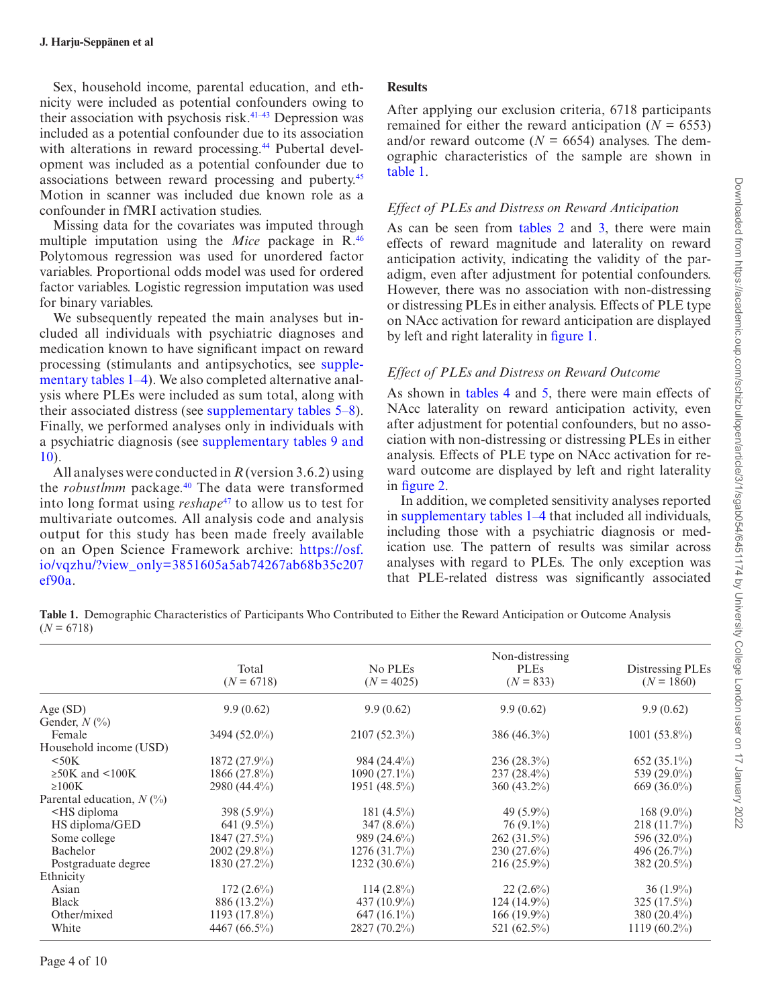Sex, household income, parental education, and ethnicity were included as potential confounders owing to their association with psychosis risk.[41–](#page-8-25)[43](#page-8-26) Depression was included as a potential confounder due to its association with alterations in reward processing.<sup>44</sup> Pubertal development was included as a potential confounder due to associations between reward processing and puberty.[45](#page-8-28) Motion in scanner was included due known role as a confounder in fMRI activation studies.

Missing data for the covariates was imputed through multiple imputation using the *Mice* package in R.[46](#page-8-29) Polytomous regression was used for unordered factor variables. Proportional odds model was used for ordered factor variables. Logistic regression imputation was used for binary variables.

We subsequently repeated the main analyses but included all individuals with psychiatric diagnoses and medication known to have significant impact on reward processing (stimulants and antipsychotics, see supplementary tables 1–4). We also completed alternative analysis where PLEs were included as sum total, along with their associated distress (see supplementary tables 5–8). Finally, we performed analyses only in individuals with a psychiatric diagnosis (see supplementary tables 9 and 10).

All analyses were conducted in *R* (version 3.6.2) using the *robustlmm* package.<sup>[40](#page-8-24)</sup> The data were transformed into long format using *reshape*[47](#page-8-30) to allow us to test for multivariate outcomes. All analysis code and analysis output for this study has been made freely available on an Open Science Framework archive: https://osf. io/vqzhu/?view\_only=3851605a5ab74267ab68b35c207 ef90a.

## **Results**

After applying our exclusion criteria, 6718 participants remained for either the reward anticipation  $(N = 6553)$ and/or reward outcome ( $N = 6654$ ) analyses. The demographic characteristics of the sample are shown in [table 1](#page-3-0).

## *Effect of PLEs and Distress on Reward Anticipation*

As can be seen from tables 2 and [3](#page-4-1), there were main effects of reward magnitude and laterality on reward anticipation activity, indicating the validity of the paradigm, even after adjustment for potential confounders. However, there was no association with non-distressing or distressing PLEs in either analysis. Effects of PLE type on NAcc activation for reward anticipation are displayed by left and right laterality in [figure 1.](#page-4-2)

## *Effect of PLEs and Distress on Reward Outcome*

As shown in [tables 4](#page-5-0) and [5,](#page-5-1) there were main effects of NAcc laterality on reward anticipation activity, even after adjustment for potential confounders, but no association with non-distressing or distressing PLEs in either analysis. Effects of PLE type on NAcc activation for reward outcome are displayed by left and right laterality in [figure 2.](#page-5-2)

In addition, we completed sensitivity analyses reported in supplementary tables 1–4 that included all individuals, including those with a psychiatric diagnosis or medication use. The pattern of results was similar across analyses with regard to PLEs. The only exception was that PLE-related distress was significantly associated

<span id="page-3-0"></span>**Table 1.** Demographic Characteristics of Participants Who Contributed to Either the Reward Anticipation or Outcome Analysis  $(N = 6718)$ 

|                                                                                                                                                            |                       |                         | Non-distressing            |                                  |  |
|------------------------------------------------------------------------------------------------------------------------------------------------------------|-----------------------|-------------------------|----------------------------|----------------------------------|--|
|                                                                                                                                                            | Total<br>$(N = 6718)$ | No PLEs<br>$(N = 4025)$ | <b>PLEs</b><br>$(N = 833)$ | Distressing PLEs<br>$(N = 1860)$ |  |
| Age(SD)                                                                                                                                                    | 9.9(0.62)             | 9.9(0.62)               | 9.9(0.62)                  | 9.9(0.62)                        |  |
| Gender, $N\binom{0}{0}$                                                                                                                                    |                       |                         |                            |                                  |  |
| Female                                                                                                                                                     | $3494(52.0\%)$        | $2107(52.3\%)$          | $386(46.3\%)$              | $1001(53.8\%)$                   |  |
| Household income (USD)                                                                                                                                     |                       |                         |                            |                                  |  |
| $<$ 50K                                                                                                                                                    | 1872 (27.9%)          | $984(24.4\%)$           | $236(28.3\%)$              | $652(35.1\%)$                    |  |
| $\geq$ 50K and <100K                                                                                                                                       | 1866 (27.8%)          | $1090(27.1\%)$          | $237(28.4\%)$              | 539 (29.0%)                      |  |
| $\geq 100K$                                                                                                                                                | $2980(44.4\%)$        | 1951 $(48.5\%)$         | $360(43.2\%)$              | $669(36.0\%)$                    |  |
| Parental education, $N(\%)$                                                                                                                                |                       |                         |                            |                                  |  |
| <hs diploma<="" td=""><td><math>398(5.9\%)</math></td><td><math>181(4.5\%)</math></td><td>49<math>(5.9\%)</math></td><td><math>168(9.0\%)</math></td></hs> | $398(5.9\%)$          | $181(4.5\%)$            | 49 $(5.9\%)$               | $168(9.0\%)$                     |  |
| HS diploma/GED                                                                                                                                             | 641 $(9.5\%)$         | $347(8.6\%)$            | $76(9.1\%)$                | 218(11.7%)                       |  |
| Some college                                                                                                                                               | 1847(27.5%)           | $989(24.6\%)$           | $262(31.5\%)$              | 596 (32.0%)                      |  |
| Bachelor                                                                                                                                                   | $2002(29.8\%)$        | 1276(31.7%)             | $230(27.6\%)$              | 496 (26.7%)                      |  |
| Postgraduate degree                                                                                                                                        | 1830 (27.2%)          | $1232(30.6\%)$          | $216(25.9\%)$              | 382 (20.5%)                      |  |
| Ethnicity                                                                                                                                                  |                       |                         |                            |                                  |  |
| Asian                                                                                                                                                      | $172(2.6\%)$          | $114(2.8\%)$            | $22(2.6\%)$                | $36(1.9\%)$                      |  |
| Black                                                                                                                                                      | 886 (13.2%)           | $437(10.9\%)$           | $124(14.9\%)$              | $325(17.5\%)$                    |  |
| Other/mixed                                                                                                                                                | $1193(17.8\%)$        | $647(16.1\%)$           | $166(19.9\%)$              | 380 $(20.4\%)$                   |  |
| White                                                                                                                                                      | $4467(66.5\%)$        | $2827(70.2\%)$          | 521 (62.5%)                | $1119(60.2\%)$                   |  |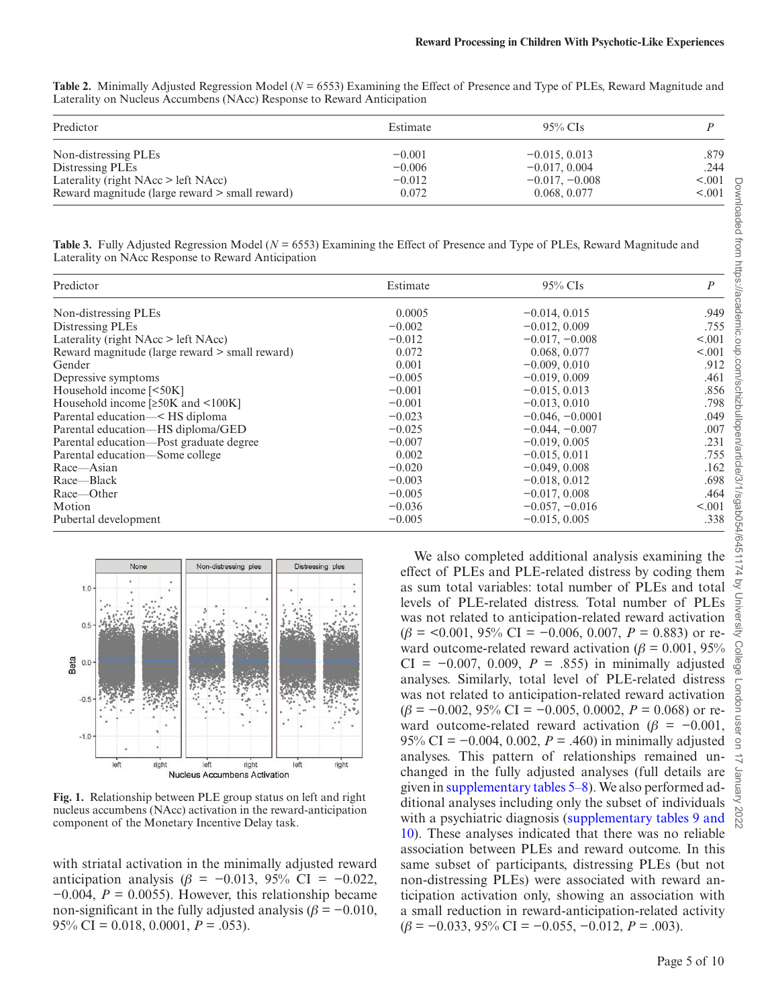<span id="page-4-0"></span>**Table 2.** Minimally Adjusted Regression Model (*N* = 6553) Examining the Effect of Presence and Type of PLEs, Reward Magnitude and Laterality on Nucleus Accumbens (NAcc) Response to Reward Anticipation

| Predictor                                      | Estimate | $95\%$ CIs       |         |
|------------------------------------------------|----------|------------------|---------|
| Non-distressing PLEs                           | $-0.001$ | $-0.015, 0.013$  | .879    |
| Distressing PLEs                               | $-0.006$ | $-0.017, 0.004$  | .244    |
| Laterality (right $NAcc$ > left $NAcc$ )       | $-0.012$ | $-0.017, -0.008$ | < 0.001 |
| Reward magnitude (large reward > small reward) | 0.072    | 0.068, 0.077     | < 0.001 |

<span id="page-4-1"></span>**Table 3.** Fully Adjusted Regression Model (*N* = 6553) Examining the Effect of Presence and Type of PLEs, Reward Magnitude and Laterality on NAcc Response to Reward Anticipation

| Predictor                                      | Estimate | $95\%$ CIs        | $\boldsymbol{P}$ |
|------------------------------------------------|----------|-------------------|------------------|
| Non-distressing PLEs                           | 0.0005   | $-0.014, 0.015$   | .949             |
| Distressing PLEs                               | $-0.002$ | $-0.012, 0.009$   | .755             |
| Laterality (right $NAcc$ > left $NAcc$ )       | $-0.012$ | $-0.017, -0.008$  | < 0.001          |
| Reward magnitude (large reward > small reward) | 0.072    | 0.068, 0.077      | < 0.001          |
| Gender                                         | 0.001    | $-0.009, 0.010$   | .912             |
| Depressive symptoms                            | $-0.005$ | $-0.019, 0.009$   | .461             |
| Household income [<50K]                        | $-0.001$ | $-0.015, 0.013$   | .856             |
| Household income $[\geq 50K$ and $\leq 100K]$  | $-0.001$ | $-0.013, 0.010$   | .798             |
| Parental education— < HS diploma               | $-0.023$ | $-0.046, -0.0001$ | .049             |
| Parental education—HS diploma/GED              | $-0.025$ | $-0.044, -0.007$  | .007             |
| Parental education—Post graduate degree        | $-0.007$ | $-0.019, 0.005$   | .231             |
| Parental education-Some college                | 0.002    | $-0.015, 0.011$   | .755             |
| Race—Asian                                     | $-0.020$ | $-0.049, 0.008$   | .162             |
| Race—Black                                     | $-0.003$ | $-0.018, 0.012$   | .698             |
| Race—Other                                     | $-0.005$ | $-0.017, 0.008$   | .464             |
| Motion                                         | $-0.036$ | $-0.057, -0.016$  | < 0.001          |
| Pubertal development                           | $-0.005$ | $-0.015, 0.005$   | .338             |



<span id="page-4-2"></span>**Fig. 1.** Relationship between PLE group status on left and right nucleus accumbens (NAcc) activation in the reward-anticipation component of the Monetary Incentive Delay task.

with striatal activation in the minimally adjusted reward anticipation analysis (*β* = −0.013, 95% CI = −0.022,  $-0.004$ ,  $P = 0.0055$ ). However, this relationship became non-significant in the fully adjusted analysis ( $\beta$  = −0.010, 95% CI = 0.018, 0.0001, *P* = .053).

We also completed additional analysis examining the effect of PLEs and PLE-related distress by coding them as sum total variables: total number of PLEs and total levels of PLE-related distress. Total number of PLEs was not related to anticipation-related reward activation  $(\beta = 0.001, 95\% \text{ CI} = -0.006, 0.007, P = 0.883)$  or reward outcome-related reward activation ( $\beta$  = 0.001, 95%) CI =  $-0.007$ , 0.009, *P* = .855) in minimally adjusted analyses. Similarly, total level of PLE-related distress was not related to anticipation-related reward activation  $(\beta = -0.002, 95\% \text{ CI} = -0.005, 0.0002, P = 0.068)$  or reward outcome-related reward activation ( $\beta$  =  $-0.001$ , 95% CI = −0.004, 0.002, *P* = .460) in minimally adjusted analyses. This pattern of relationships remained unchanged in the fully adjusted analyses (full details are given in supplementary tables 5–8). We also performed additional analyses including only the subset of individuals with a psychiatric diagnosis (supplementary tables 9 and 10). These analyses indicated that there was no reliable association between PLEs and reward outcome. In this same subset of participants, distressing PLEs (but not non-distressing PLEs) were associated with reward anticipation activation only, showing an association with a small reduction in reward-anticipation-related activity  $(\beta = -0.033, 95\% \text{ CI} = -0.055, -0.012, P = .003).$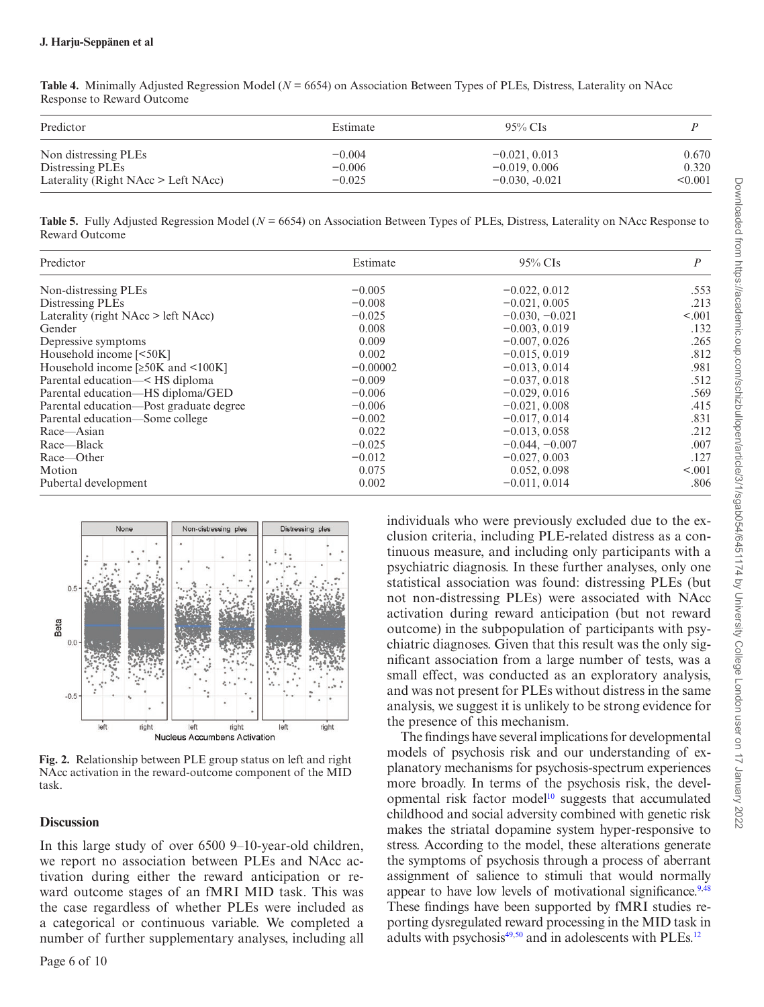#### **J. Harju-Seppänen et al**

| Predictor                             | Estimate | $95\%$ CIs       |         |
|---------------------------------------|----------|------------------|---------|
| Non distressing PLEs                  | $-0.004$ | $-0.021, 0.013$  | 0.670   |
| Distressing PLEs                      | $-0.006$ | $-0.019, 0.006$  | 0.320   |
| Laterality (Right NAcc $>$ Left NAcc) | $-0.025$ | $-0.030, -0.021$ | < 0.001 |

<span id="page-5-0"></span>**Table 4.** Minimally Adjusted Regression Model (*N* = 6654) on Association Between Types of PLEs, Distress, Laterality on NAcc Response to Reward Outcome

<span id="page-5-1"></span>**Table 5.** Fully Adjusted Regression Model (*N* = 6654) on Association Between Types of PLEs, Distress, Laterality on NAcc Response to Reward Outcome

| Predictor                                | Estimate   | $95\%$ CIs       | P       |
|------------------------------------------|------------|------------------|---------|
| Non-distressing PLEs                     | $-0.005$   | $-0.022, 0.012$  | .553    |
| Distressing PLEs                         | $-0.008$   | $-0.021, 0.005$  | .213    |
| Laterality (right NAcc > left NAcc)      | $-0.025$   | $-0.030, -0.021$ | < 0.001 |
| Gender                                   | 0.008      | $-0.003, 0.019$  | .132    |
| Depressive symptoms                      | 0.009      | $-0.007, 0.026$  | .265    |
| Household income $[50K]$                 | 0.002      | $-0.015, 0.019$  | .812    |
| Household income [≥50K and <100K]        | $-0.00002$ | $-0.013, 0.014$  | .981    |
| Parental education-<br>$\leq$ HS diploma | $-0.009$   | $-0.037, 0.018$  | .512    |
| Parental education—HS diploma/GED        | $-0.006$   | $-0.029, 0.016$  | .569    |
| Parental education—Post graduate degree  | $-0.006$   | $-0.021, 0.008$  | .415    |
| Parental education—Some college          | $-0.002$   | $-0.017, 0.014$  | .831    |
| Race—Asian                               | 0.022      | $-0.013, 0.058$  | .212    |
| Race-Black                               | $-0.025$   | $-0.044, -0.007$ | .007    |
| Race—Other                               | $-0.012$   | $-0.027, 0.003$  | .127    |
| Motion                                   | 0.075      | 0.052, 0.098     | < 0.001 |
| Pubertal development                     | 0.002      | $-0.011, 0.014$  | .806    |



<span id="page-5-2"></span>**Fig. 2.** Relationship between PLE group status on left and right NAcc activation in the reward-outcome component of the MID task.

### **Discussion**

In this large study of over 6500 9–10-year-old children, we report no association between PLEs and NAcc activation during either the reward anticipation or reward outcome stages of an fMRI MID task. This was the case regardless of whether PLEs were included as a categorical or continuous variable. We completed a number of further supplementary analyses, including all

Page 6 of 10

individuals who were previously excluded due to the exclusion criteria, including PLE-related distress as a continuous measure, and including only participants with a psychiatric diagnosis. In these further analyses, only one statistical association was found: distressing PLEs (but not non-distressing PLEs) were associated with NAcc activation during reward anticipation (but not reward outcome) in the subpopulation of participants with psychiatric diagnoses. Given that this result was the only significant association from a large number of tests, was a small effect, was conducted as an exploratory analysis, and was not present for PLEs without distress in the same analysis, we suggest it is unlikely to be strong evidence for the presence of this mechanism.

The findings have several implications for developmental models of psychosis risk and our understanding of explanatory mechanisms for psychosis-spectrum experiences more broadly. In terms of the psychosis risk, the developmental risk factor model<sup>10</sup> suggests that accumulated childhood and social adversity combined with genetic risk makes the striatal dopamine system hyper-responsive to stress. According to the model, these alterations generate the symptoms of psychosis through a process of aberrant assignment of salience to stimuli that would normally appear to have low levels of motivational significance.<sup>9,[48](#page-8-31)</sup> These findings have been supported by fMRI studies reporting dysregulated reward processing in the MID task in adults with psychosis<sup>[49](#page-8-32)[,50](#page-8-33)</sup> and in adolescents with PLEs.<sup>12</sup>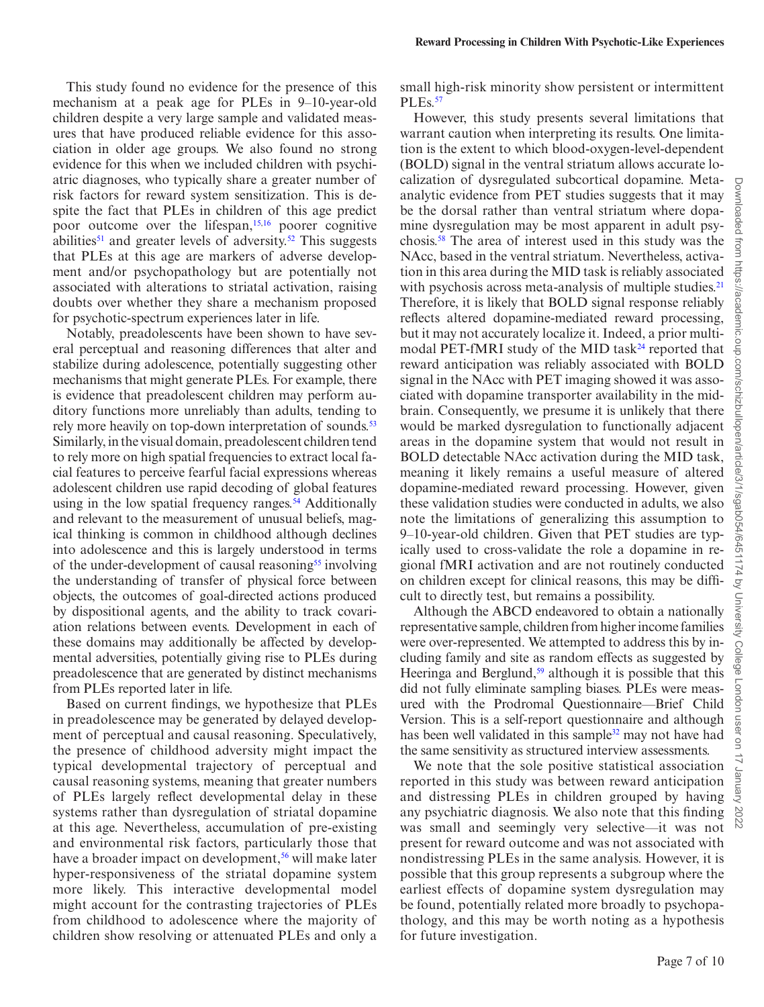This study found no evidence for the presence of this mechanism at a peak age for PLEs in 9–10-year-old children despite a very large sample and validated measures that have produced reliable evidence for this association in older age groups. We also found no strong evidence for this when we included children with psychiatric diagnoses, who typically share a greater number of risk factors for reward system sensitization. This is despite the fact that PLEs in children of this age predict poor outcome over the lifespan,[15](#page-7-14)[,16](#page-8-0) poorer cognitive abilities<sup>51</sup> and greater levels of adversity.<sup>52</sup> This suggests that PLEs at this age are markers of adverse development and/or psychopathology but are potentially not associated with alterations to striatal activation, raising doubts over whether they share a mechanism proposed for psychotic-spectrum experiences later in life.

Notably, preadolescents have been shown to have several perceptual and reasoning differences that alter and stabilize during adolescence, potentially suggesting other mechanisms that might generate PLEs. For example, there is evidence that preadolescent children may perform auditory functions more unreliably than adults, tending to rely more heavily on top-down interpretation of sounds.<sup>[53](#page-9-2)</sup> Similarly, in the visual domain, preadolescent children tend to rely more on high spatial frequencies to extract local facial features to perceive fearful facial expressions whereas adolescent children use rapid decoding of global features using in the low spatial frequency ranges.<sup>54</sup> Additionally and relevant to the measurement of unusual beliefs, magical thinking is common in childhood although declines into adolescence and this is largely understood in terms of the under-development of causal reasoning<sup>55</sup> involving the understanding of transfer of physical force between objects, the outcomes of goal-directed actions produced by dispositional agents, and the ability to track covariation relations between events. Development in each of these domains may additionally be affected by developmental adversities, potentially giving rise to PLEs during preadolescence that are generated by distinct mechanisms from PLEs reported later in life.

Based on current findings, we hypothesize that PLEs in preadolescence may be generated by delayed development of perceptual and causal reasoning. Speculatively, the presence of childhood adversity might impact the typical developmental trajectory of perceptual and causal reasoning systems, meaning that greater numbers of PLEs largely reflect developmental delay in these systems rather than dysregulation of striatal dopamine at this age. Nevertheless, accumulation of pre-existing and environmental risk factors, particularly those that have a broader impact on development,<sup>56</sup> will make later hyper-responsiveness of the striatal dopamine system more likely. This interactive developmental model might account for the contrasting trajectories of PLEs from childhood to adolescence where the majority of children show resolving or attenuated PLEs and only a

small high-risk minority show persistent or intermittent PLEs.<sup>[57](#page-9-6)</sup>

However, this study presents several limitations that warrant caution when interpreting its results. One limitation is the extent to which blood-oxygen-level-dependent (BOLD) signal in the ventral striatum allows accurate localization of dysregulated subcortical dopamine. Metaanalytic evidence from PET studies suggests that it may be the dorsal rather than ventral striatum where dopamine dysregulation may be most apparent in adult psychosis[.58](#page-9-7) The area of interest used in this study was the NAcc, based in the ventral striatum. Nevertheless, activation in this area during the MID task is reliably associated with psychosis across meta-analysis of multiple studies.<sup>[21](#page-8-5)</sup> Therefore, it is likely that BOLD signal response reliably reflects altered dopamine-mediated reward processing, but it may not accurately localize it. Indeed, a prior multimodal PET-fMRI study of the MID task<sup>24</sup> reported that reward anticipation was reliably associated with BOLD signal in the NAcc with PET imaging showed it was associated with dopamine transporter availability in the midbrain. Consequently, we presume it is unlikely that there would be marked dysregulation to functionally adjacent areas in the dopamine system that would not result in BOLD detectable NAcc activation during the MID task, meaning it likely remains a useful measure of altered dopamine-mediated reward processing. However, given these validation studies were conducted in adults, we also note the limitations of generalizing this assumption to 9–10-year-old children. Given that PET studies are typically used to cross-validate the role a dopamine in regional fMRI activation and are not routinely conducted on children except for clinical reasons, this may be difficult to directly test, but remains a possibility.

Although the ABCD endeavored to obtain a nationally representative sample, children from higher income families were over-represented. We attempted to address this by including family and site as random effects as suggested by Heeringa and Berglund, $59$  although it is possible that this did not fully eliminate sampling biases. PLEs were measured with the Prodromal Questionnaire—Brief Child Version. This is a self-report questionnaire and although has been well validated in this sample<sup>32</sup> may not have had the same sensitivity as structured interview assessments.

We note that the sole positive statistical association reported in this study was between reward anticipation and distressing PLEs in children grouped by having any psychiatric diagnosis. We also note that this finding was small and seemingly very selective—it was not present for reward outcome and was not associated with nondistressing PLEs in the same analysis. However, it is possible that this group represents a subgroup where the earliest effects of dopamine system dysregulation may be found, potentially related more broadly to psychopathology, and this may be worth noting as a hypothesis for future investigation.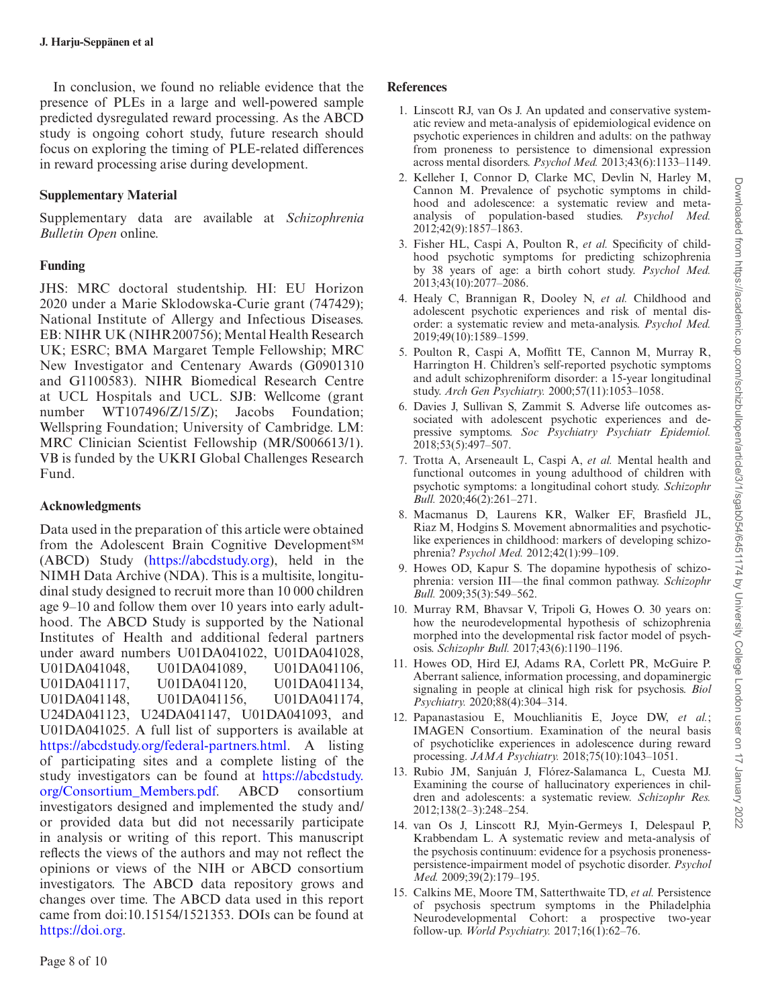In conclusion, we found no reliable evidence that the presence of PLEs in a large and well-powered sample predicted dysregulated reward processing. As the ABCD study is ongoing cohort study, future research should focus on exploring the timing of PLE-related differences in reward processing arise during development.

# **Supplementary Material**

Supplementary data are available at *Schizophrenia Bulletin Open* online.

# **Funding**

JHS: MRC doctoral studentship. HI: EU Horizon 2020 under a Marie Sklodowska-Curie grant (747429); National Institute of Allergy and Infectious Diseases. EB: NIHR UK (NIHR200756); Mental Health Research UK; ESRC; BMA Margaret Temple Fellowship; MRC New Investigator and Centenary Awards (G0901310 and G1100583). NIHR Biomedical Research Centre at UCL Hospitals and UCL. SJB: Wellcome (grant number WT107496/Z/15/Z); Jacobs Foundation; Wellspring Foundation; University of Cambridge. LM: MRC Clinician Scientist Fellowship (MR/S006613/1). VB is funded by the UKRI Global Challenges Research Fund.

## **Acknowledgments**

Data used in the preparation of this article were obtained from the Adolescent Brain Cognitive Development<sup>SM</sup> (ABCD) Study (https://abcdstudy.org), held in the NIMH Data Archive (NDA). This is a multisite, longitudinal study designed to recruit more than 10 000 children age 9–10 and follow them over 10 years into early adulthood. The ABCD Study is supported by the National Institutes of Health and additional federal partners under award numbers U01DA041022, U01DA041028, U01DA041048, U01DA041089, U01DA041106, U01DA041117, U01DA041120, U01DA041134, U01DA041148, U01DA041156, U01DA041174, U24DA041123, U24DA041147, U01DA041093, and U01DA041025. A full list of supporters is available at https://abcdstudy.org/federal-partners.html. A listing of participating sites and a complete listing of the study investigators can be found at https://abcdstudy. org/Consortium\_Members.pdf. ABCD consortium investigators designed and implemented the study and/ or provided data but did not necessarily participate in analysis or writing of this report. This manuscript reflects the views of the authors and may not reflect the opinions or views of the NIH or ABCD consortium investigators. The ABCD data repository grows and changes over time. The ABCD data used in this report came from doi:10.15154/1521353. DOIs can be found at https://doi.org.

## **References**

- <span id="page-7-0"></span>1. Linscott RJ, van Os J. An updated and conservative systematic review and meta-analysis of epidemiological evidence on psychotic experiences in children and adults: on the pathway from proneness to persistence to dimensional expression across mental disorders. *Psychol Med.* 2013;43(6):1133–1149.
- <span id="page-7-1"></span>2. Kelleher I, Connor D, Clarke MC, Devlin N, Harley M, Cannon M. Prevalence of psychotic symptoms in childhood and adolescence: a systematic review and metaanalysis of population-based studies. *Psychol Med.* 2012;42(9):1857–1863.
- <span id="page-7-2"></span>3. Fisher HL, Caspi A, Poulton R, *et al.* Specificity of childhood psychotic symptoms for predicting schizophrenia by 38 years of age: a birth cohort study. *Psychol Med.* 2013;43(10):2077–2086.
- <span id="page-7-4"></span>4. Healy C, Brannigan R, Dooley N, *et al.* Childhood and adolescent psychotic experiences and risk of mental disorder: a systematic review and meta-analysis. *Psychol Med.* 2019;49(10):1589–1599.
- <span id="page-7-3"></span>5. Poulton R, Caspi A, Moffitt TE, Cannon M, Murray R, Harrington H. Children's self-reported psychotic symptoms and adult schizophreniform disorder: a 15-year longitudinal study. *Arch Gen Psychiatry.* 2000;57(11):1053–1058.
- <span id="page-7-5"></span>6. Davies J, Sullivan S, Zammit S. Adverse life outcomes associated with adolescent psychotic experiences and depressive symptoms. *Soc Psychiatry Psychiatr Epidemiol.* 2018;53(5):497–507.
- <span id="page-7-6"></span>7. Trotta A, Arseneault L, Caspi A, *et al.* Mental health and functional outcomes in young adulthood of children with psychotic symptoms: a longitudinal cohort study. *Schizophr Bull.* 2020;46(2):261–271.
- <span id="page-7-7"></span>8. Macmanus D, Laurens KR, Walker EF, Brasfield JL, Riaz M, Hodgins S. Movement abnormalities and psychoticlike experiences in childhood: markers of developing schizophrenia? *Psychol Med.* 2012;42(1):99–109.
- <span id="page-7-8"></span>9. Howes OD, Kapur S. The dopamine hypothesis of schizophrenia: version III—the final common pathway. *Schizophr Bull.* 2009;35(3):549–562.
- <span id="page-7-9"></span>10. Murray RM, Bhavsar V, Tripoli G, Howes O. 30 years on: how the neurodevelopmental hypothesis of schizophrenia morphed into the developmental risk factor model of psychosis. *Schizophr Bull.* 2017;43(6):1190–1196.
- <span id="page-7-10"></span>11. Howes OD, Hird EJ, Adams RA, Corlett PR, McGuire P. Aberrant salience, information processing, and dopaminergic signaling in people at clinical high risk for psychosis. *Biol Psychiatry.* 2020;88(4):304–314.
- <span id="page-7-11"></span>12. Papanastasiou E, Mouchlianitis E, Joyce DW, *et al.*; IMAGEN Consortium. Examination of the neural basis of psychoticlike experiences in adolescence during reward processing. *JAMA Psychiatry.* 2018;75(10):1043–1051.
- <span id="page-7-12"></span>13. Rubio JM, Sanjuán J, Flórez-Salamanca L, Cuesta MJ. Examining the course of hallucinatory experiences in children and adolescents: a systematic review. *Schizophr Res.* 2012;138(2–3):248–254.
- <span id="page-7-13"></span>14. van Os J, Linscott RJ, Myin-Germeys I, Delespaul P, Krabbendam L. A systematic review and meta-analysis of the psychosis continuum: evidence for a psychosis pronenesspersistence-impairment model of psychotic disorder. *Psychol Med.* 2009;39(2):179–195.
- <span id="page-7-14"></span>15. Calkins ME, Moore TM, Satterthwaite TD, *et al.* Persistence of psychosis spectrum symptoms in the Philadelphia Neurodevelopmental Cohort: a prospective two-year follow-up. *World Psychiatry.* 2017;16(1):62–76.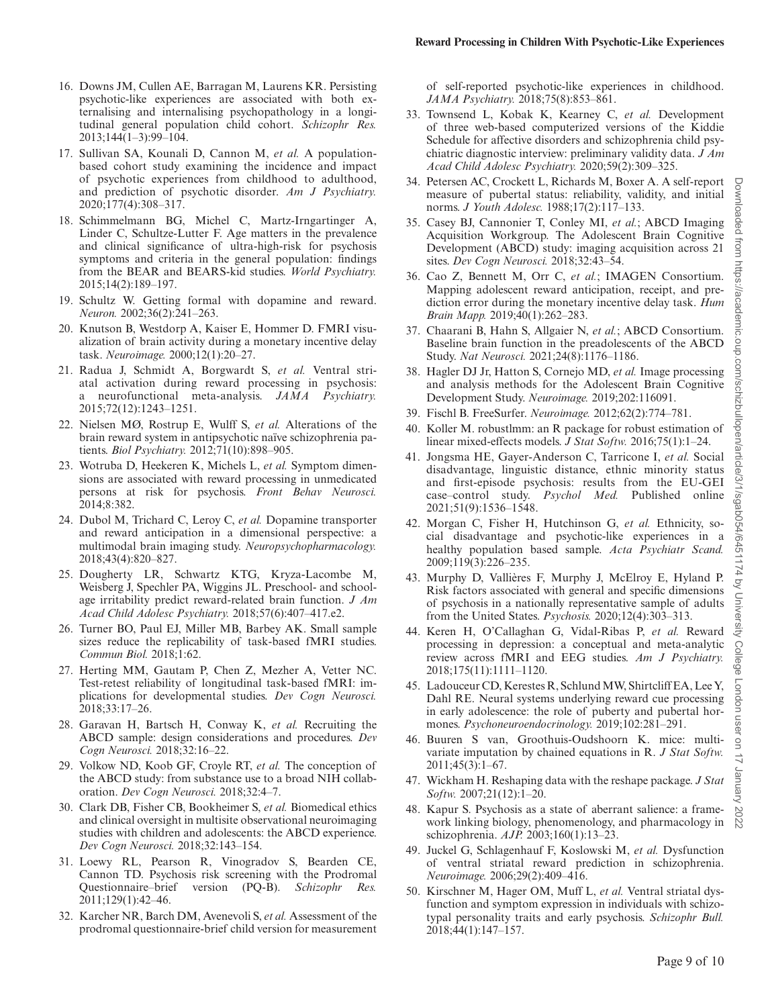- <span id="page-8-0"></span>16. Downs JM, Cullen AE, Barragan M, Laurens KR. Persisting psychotic-like experiences are associated with both externalising and internalising psychopathology in a longitudinal general population child cohort. *Schizophr Res.* 2013;144(1–3):99–104.
- <span id="page-8-1"></span>17. Sullivan SA, Kounali D, Cannon M, *et al.* A populationbased cohort study examining the incidence and impact of psychotic experiences from childhood to adulthood, and prediction of psychotic disorder. *Am J Psychiatry.* 2020;177(4):308–317.
- <span id="page-8-2"></span>18. Schimmelmann BG, Michel C, Martz-Irngartinger A, Linder C, Schultze-Lutter F. Age matters in the prevalence and clinical significance of ultra-high-risk for psychosis symptoms and criteria in the general population: findings from the BEAR and BEARS-kid studies. *World Psychiatry.* 2015;14(2):189–197.
- <span id="page-8-3"></span>19. Schultz W. Getting formal with dopamine and reward. *Neuron.* 2002;36(2):241–263.
- <span id="page-8-4"></span>20. Knutson B, Westdorp A, Kaiser E, Hommer D. FMRI visualization of brain activity during a monetary incentive delay task. *Neuroimage.* 2000;12(1):20–27.
- <span id="page-8-5"></span>21. Radua J, Schmidt A, Borgwardt S, *et al.* Ventral striatal activation during reward processing in psychosis: a neurofunctional meta-analysis. *JAMA Psychiatry.* 2015;72(12):1243–1251.
- <span id="page-8-6"></span>22. Nielsen MØ, Rostrup E, Wulff S, *et al.* Alterations of the brain reward system in antipsychotic naïve schizophrenia patients. *Biol Psychiatry.* 2012;71(10):898–905.
- <span id="page-8-7"></span>23. Wotruba D, Heekeren K, Michels L, *et al.* Symptom dimensions are associated with reward processing in unmedicated persons at risk for psychosis. *Front Behav Neurosci.* 2014;8:382.
- <span id="page-8-8"></span>24. Dubol M, Trichard C, Leroy C, *et al.* Dopamine transporter and reward anticipation in a dimensional perspective: a multimodal brain imaging study. *Neuropsychopharmacology.* 2018;43(4):820–827.
- <span id="page-8-9"></span>25. Dougherty LR, Schwartz KTG, Kryza-Lacombe M, Weisberg J, Spechler PA, Wiggins JL. Preschool- and schoolage irritability predict reward-related brain function. *J Am Acad Child Adolesc Psychiatry.* 2018;57(6):407–417.e2.
- <span id="page-8-10"></span>26. Turner BO, Paul EJ, Miller MB, Barbey AK. Small sample sizes reduce the replicability of task-based fMRI studies. *Commun Biol.* 2018;1:62.
- <span id="page-8-11"></span>27. Herting MM, Gautam P, Chen Z, Mezher A, Vetter NC. Test-retest reliability of longitudinal task-based fMRI: implications for developmental studies. *Dev Cogn Neurosci.* 2018;33:17–26.
- <span id="page-8-12"></span>28. Garavan H, Bartsch H, Conway K, *et al.* Recruiting the ABCD sample: design considerations and procedures. *Dev Cogn Neurosci.* 2018;32:16–22.
- <span id="page-8-13"></span>29. Volkow ND, Koob GF, Croyle RT, *et al.* The conception of the ABCD study: from substance use to a broad NIH collaboration. *Dev Cogn Neurosci.* 2018;32:4–7.
- <span id="page-8-14"></span>30. Clark DB, Fisher CB, Bookheimer S, *et al.* Biomedical ethics and clinical oversight in multisite observational neuroimaging studies with children and adolescents: the ABCD experience. *Dev Cogn Neurosci.* 2018;32:143–154.
- <span id="page-8-15"></span>31. Loewy RL, Pearson R, Vinogradov S, Bearden CE, Cannon TD. Psychosis risk screening with the Prodromal Questionnaire–brief version (PQ-B). *Schizophr Res.* 2011;129(1):42–46.
- <span id="page-8-16"></span>32. Karcher NR, Barch DM, Avenevoli S, *et al.* Assessment of the prodromal questionnaire-brief child version for measurement

of self-reported psychotic-like experiences in childhood. *JAMA Psychiatry.* 2018;75(8):853–861.

- <span id="page-8-17"></span>33. Townsend L, Kobak K, Kearney C, *et al.* Development of three web-based computerized versions of the Kiddie Schedule for affective disorders and schizophrenia child psychiatric diagnostic interview: preliminary validity data. *J Am Acad Child Adolesc Psychiatry.* 2020;59(2):309–325.
- <span id="page-8-18"></span>34. Petersen AC, Crockett L, Richards M, Boxer A. A self-report measure of pubertal status: reliability, validity, and initial norms. *J Youth Adolesc.* 1988;17(2):117–133.
- <span id="page-8-19"></span>35. Casey BJ, Cannonier T, Conley MI, *et al.*; ABCD Imaging Acquisition Workgroup. The Adolescent Brain Cognitive Development (ABCD) study: imaging acquisition across 21 sites. *Dev Cogn Neurosci.* 2018;32:43–54.
- <span id="page-8-20"></span>36. Cao Z, Bennett M, Orr C, *et al.*; IMAGEN Consortium. Mapping adolescent reward anticipation, receipt, and prediction error during the monetary incentive delay task. *Hum Brain Mapp.* 2019;40(1):262–283.
- <span id="page-8-21"></span>37. Chaarani B, Hahn S, Allgaier N, *et al.*; ABCD Consortium. Baseline brain function in the preadolescents of the ABCD Study. *Nat Neurosci.* 2021;24(8):1176–1186.
- <span id="page-8-22"></span>38. Hagler DJ Jr, Hatton S, Cornejo MD, *et al.* Image processing and analysis methods for the Adolescent Brain Cognitive Development Study. *Neuroimage.* 2019;202:116091.
- <span id="page-8-23"></span>39. Fischl B. FreeSurfer. *Neuroimage.* 2012;62(2):774–781.
- <span id="page-8-24"></span>40. Koller M. robustlmm: an R package for robust estimation of linear mixed-effects models. *J Stat Softw.* 2016;75(1):1–24.
- <span id="page-8-25"></span>41. Jongsma HE, Gayer-Anderson C, Tarricone I, *et al.* Social disadvantage, linguistic distance, ethnic minority status and first-episode psychosis: results from the EU-GEI case–control study. *Psychol Med.* Published online 2021;51(9):1536–1548.
- 42. Morgan C, Fisher H, Hutchinson G, *et al.* Ethnicity, social disadvantage and psychotic-like experiences in a healthy population based sample. *Acta Psychiatr Scand.* 2009;119(3):226–235.
- <span id="page-8-26"></span>43. Murphy D, Vallières F, Murphy J, McElroy E, Hyland P. Risk factors associated with general and specific dimensions of psychosis in a nationally representative sample of adults from the United States. *Psychosis.* 2020;12(4):303–313.
- <span id="page-8-27"></span>44. Keren H, O'Callaghan G, Vidal-Ribas P, *et al.* Reward processing in depression: a conceptual and meta-analytic review across fMRI and EEG studies. *Am J Psychiatry.* 2018;175(11):1111–1120.
- <span id="page-8-28"></span>45. Ladouceur CD, Kerestes R, Schlund MW, Shirtcliff EA, Lee Y, Dahl RE. Neural systems underlying reward cue processing in early adolescence: the role of puberty and pubertal hormones. *Psychoneuroendocrinology.* 2019;102:281–291.
- <span id="page-8-29"></span>46. Buuren S van, Groothuis-Oudshoorn K. mice: multivariate imputation by chained equations in R. *J Stat Softw.* 2011;45(3):1–67.
- <span id="page-8-30"></span>47. Wickham H. Reshaping data with the reshape package. *J Stat Softw.* 2007;21(12):1–20.
- <span id="page-8-31"></span>48. Kapur S. Psychosis as a state of aberrant salience: a framework linking biology, phenomenology, and pharmacology in schizophrenia. *AJP.* 2003;160(1):13–23.
- <span id="page-8-32"></span>49. Juckel G, Schlagenhauf F, Koslowski M, *et al.* Dysfunction of ventral striatal reward prediction in schizophrenia. *Neuroimage.* 2006;29(2):409–416.
- <span id="page-8-33"></span>50. Kirschner M, Hager OM, Muff L, *et al.* Ventral striatal dysfunction and symptom expression in individuals with schizotypal personality traits and early psychosis. *Schizophr Bull.* 2018;44(1):147–157.